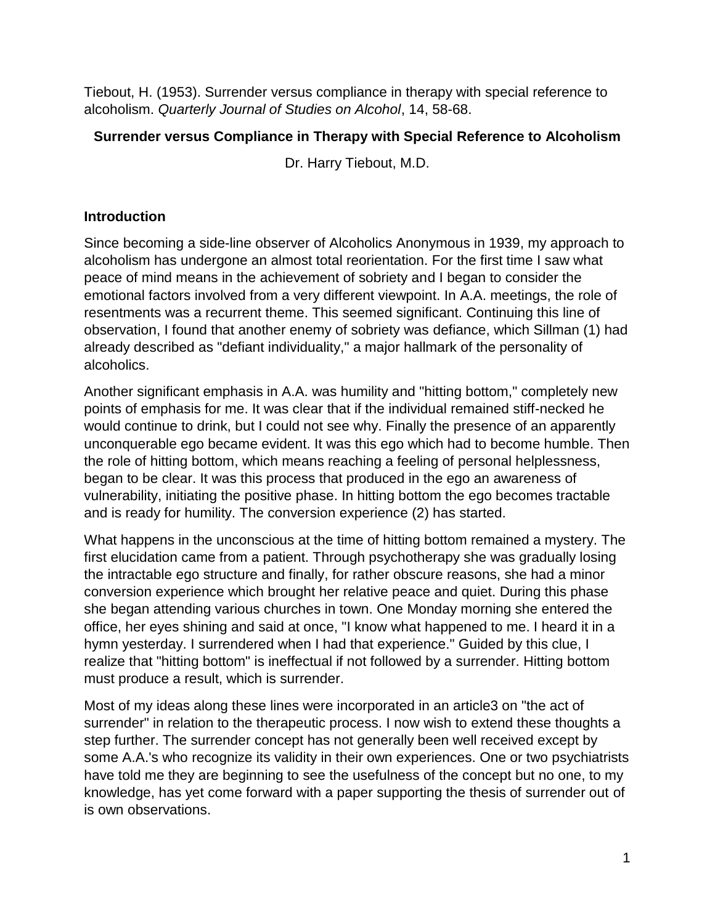Tiebout, H. (1953). Surrender versus compliance in therapy with special reference to alcoholism. *Quarterly Journal of Studies on Alcohol*, 14, 58-68.

# **Surrender versus Compliance in Therapy with Special Reference to Alcoholism**

Dr. Harry Tiebout, M.D.

## **Introduction**

Since becoming a side-line observer of Alcoholics Anonymous in 1939, my approach to alcoholism has undergone an almost total reorientation. For the first time I saw what peace of mind means in the achievement of sobriety and I began to consider the emotional factors involved from a very different viewpoint. In A.A. meetings, the role of resentments was a recurrent theme. This seemed significant. Continuing this line of observation, I found that another enemy of sobriety was defiance, which Sillman (1) had already described as "defiant individuality," a major hallmark of the personality of alcoholics.

Another significant emphasis in A.A. was humility and "hitting bottom," completely new points of emphasis for me. It was clear that if the individual remained stiff-necked he would continue to drink, but I could not see why. Finally the presence of an apparently unconquerable ego became evident. It was this ego which had to become humble. Then the role of hitting bottom, which means reaching a feeling of personal helplessness, began to be clear. It was this process that produced in the ego an awareness of vulnerability, initiating the positive phase. In hitting bottom the ego becomes tractable and is ready for humility. The conversion experience (2) has started.

What happens in the unconscious at the time of hitting bottom remained a mystery. The first elucidation came from a patient. Through psychotherapy she was gradually losing the intractable ego structure and finally, for rather obscure reasons, she had a minor conversion experience which brought her relative peace and quiet. During this phase she began attending various churches in town. One Monday morning she entered the office, her eyes shining and said at once, "I know what happened to me. I heard it in a hymn yesterday. I surrendered when I had that experience." Guided by this clue, I realize that "hitting bottom" is ineffectual if not followed by a surrender. Hitting bottom must produce a result, which is surrender.

Most of my ideas along these lines were incorporated in an article3 on "the act of surrender" in relation to the therapeutic process. I now wish to extend these thoughts a step further. The surrender concept has not generally been well received except by some A.A.'s who recognize its validity in their own experiences. One or two psychiatrists have told me they are beginning to see the usefulness of the concept but no one, to my knowledge, has yet come forward with a paper supporting the thesis of surrender out of is own observations.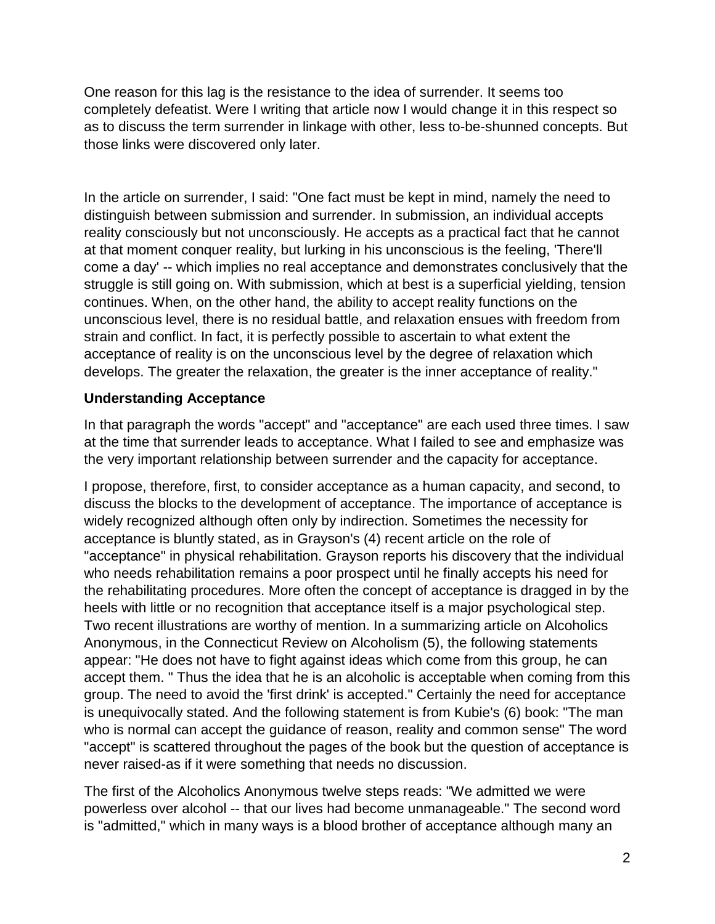One reason for this lag is the resistance to the idea of surrender. It seems too completely defeatist. Were I writing that article now I would change it in this respect so as to discuss the term surrender in linkage with other, less to-be-shunned concepts. But those links were discovered only later.

In the article on surrender, I said: "One fact must be kept in mind, namely the need to distinguish between submission and surrender. In submission, an individual accepts reality consciously but not unconsciously. He accepts as a practical fact that he cannot at that moment conquer reality, but lurking in his unconscious is the feeling, 'There'll come a day' -- which implies no real acceptance and demonstrates conclusively that the struggle is still going on. With submission, which at best is a superficial yielding, tension continues. When, on the other hand, the ability to accept reality functions on the unconscious level, there is no residual battle, and relaxation ensues with freedom from strain and conflict. In fact, it is perfectly possible to ascertain to what extent the acceptance of reality is on the unconscious level by the degree of relaxation which develops. The greater the relaxation, the greater is the inner acceptance of reality."

### **Understanding Acceptance**

In that paragraph the words "accept" and "acceptance" are each used three times. I saw at the time that surrender leads to acceptance. What I failed to see and emphasize was the very important relationship between surrender and the capacity for acceptance.

I propose, therefore, first, to consider acceptance as a human capacity, and second, to discuss the blocks to the development of acceptance. The importance of acceptance is widely recognized although often only by indirection. Sometimes the necessity for acceptance is bluntly stated, as in Grayson's (4) recent article on the role of "acceptance" in physical rehabilitation. Grayson reports his discovery that the individual who needs rehabilitation remains a poor prospect until he finally accepts his need for the rehabilitating procedures. More often the concept of acceptance is dragged in by the heels with little or no recognition that acceptance itself is a major psychological step. Two recent illustrations are worthy of mention. In a summarizing article on Alcoholics Anonymous, in the Connecticut Review on Alcoholism (5), the following statements appear: "He does not have to fight against ideas which come from this group, he can accept them. " Thus the idea that he is an alcoholic is acceptable when coming from this group. The need to avoid the 'first drink' is accepted." Certainly the need for acceptance is unequivocally stated. And the following statement is from Kubie's (6) book: "The man who is normal can accept the guidance of reason, reality and common sense" The word "accept" is scattered throughout the pages of the book but the question of acceptance is never raised-as if it were something that needs no discussion.

The first of the Alcoholics Anonymous twelve steps reads: "We admitted we were powerless over alcohol -- that our lives had become unmanageable." The second word is "admitted," which in many ways is a blood brother of acceptance although many an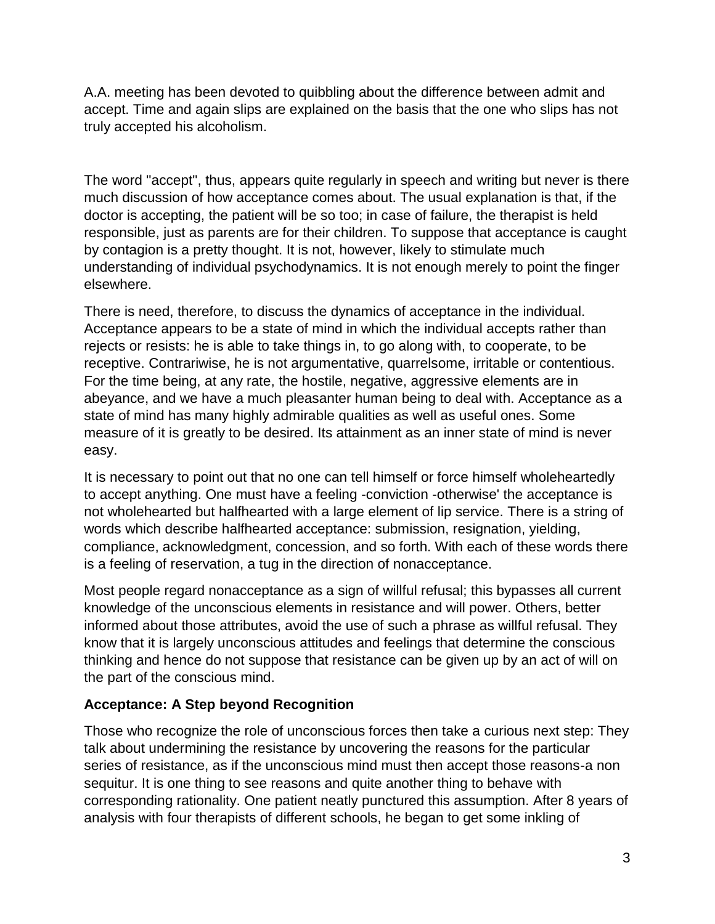A.A. meeting has been devoted to quibbling about the difference between admit and accept. Time and again slips are explained on the basis that the one who slips has not truly accepted his alcoholism.

The word "accept", thus, appears quite regularly in speech and writing but never is there much discussion of how acceptance comes about. The usual explanation is that, if the doctor is accepting, the patient will be so too; in case of failure, the therapist is held responsible, just as parents are for their children. To suppose that acceptance is caught by contagion is a pretty thought. It is not, however, likely to stimulate much understanding of individual psychodynamics. It is not enough merely to point the finger elsewhere.

There is need, therefore, to discuss the dynamics of acceptance in the individual. Acceptance appears to be a state of mind in which the individual accepts rather than rejects or resists: he is able to take things in, to go along with, to cooperate, to be receptive. Contrariwise, he is not argumentative, quarrelsome, irritable or contentious. For the time being, at any rate, the hostile, negative, aggressive elements are in abeyance, and we have a much pleasanter human being to deal with. Acceptance as a state of mind has many highly admirable qualities as well as useful ones. Some measure of it is greatly to be desired. Its attainment as an inner state of mind is never easy.

It is necessary to point out that no one can tell himself or force himself wholeheartedly to accept anything. One must have a feeling -conviction -otherwise' the acceptance is not wholehearted but halfhearted with a large element of lip service. There is a string of words which describe halfhearted acceptance: submission, resignation, yielding, compliance, acknowledgment, concession, and so forth. With each of these words there is a feeling of reservation, a tug in the direction of nonacceptance.

Most people regard nonacceptance as a sign of willful refusal; this bypasses all current knowledge of the unconscious elements in resistance and will power. Others, better informed about those attributes, avoid the use of such a phrase as willful refusal. They know that it is largely unconscious attitudes and feelings that determine the conscious thinking and hence do not suppose that resistance can be given up by an act of will on the part of the conscious mind.

### **Acceptance: A Step beyond Recognition**

Those who recognize the role of unconscious forces then take a curious next step: They talk about undermining the resistance by uncovering the reasons for the particular series of resistance, as if the unconscious mind must then accept those reasons-a non sequitur. It is one thing to see reasons and quite another thing to behave with corresponding rationality. One patient neatly punctured this assumption. After 8 years of analysis with four therapists of different schools, he began to get some inkling of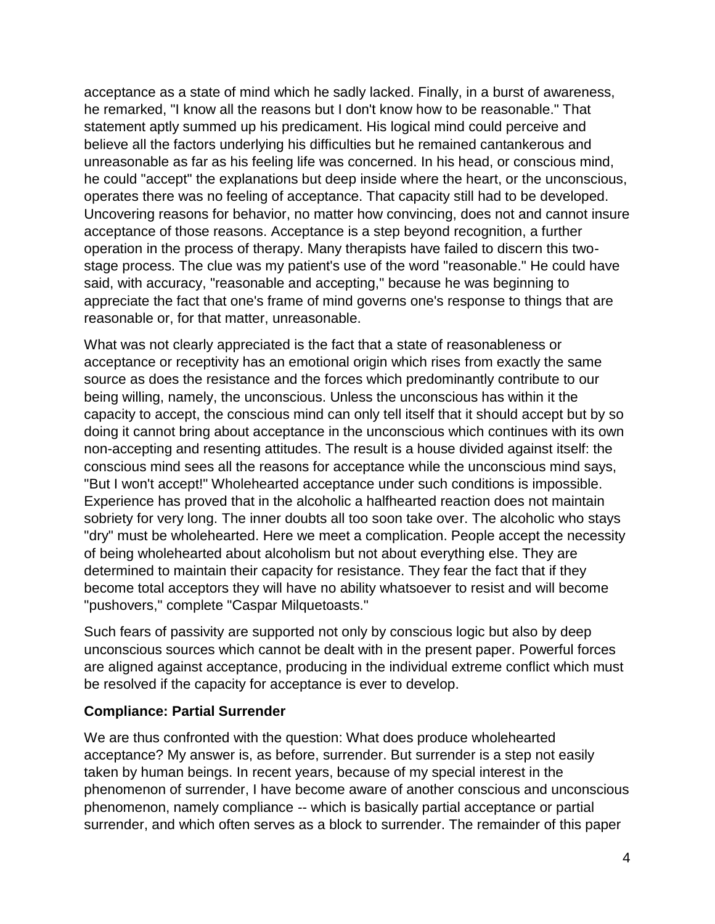acceptance as a state of mind which he sadly lacked. Finally, in a burst of awareness, he remarked, "I know all the reasons but I don't know how to be reasonable." That statement aptly summed up his predicament. His logical mind could perceive and believe all the factors underlying his difficulties but he remained cantankerous and unreasonable as far as his feeling life was concerned. In his head, or conscious mind, he could "accept" the explanations but deep inside where the heart, or the unconscious, operates there was no feeling of acceptance. That capacity still had to be developed. Uncovering reasons for behavior, no matter how convincing, does not and cannot insure acceptance of those reasons. Acceptance is a step beyond recognition, a further operation in the process of therapy. Many therapists have failed to discern this twostage process. The clue was my patient's use of the word "reasonable." He could have said, with accuracy, "reasonable and accepting," because he was beginning to appreciate the fact that one's frame of mind governs one's response to things that are reasonable or, for that matter, unreasonable.

What was not clearly appreciated is the fact that a state of reasonableness or acceptance or receptivity has an emotional origin which rises from exactly the same source as does the resistance and the forces which predominantly contribute to our being willing, namely, the unconscious. Unless the unconscious has within it the capacity to accept, the conscious mind can only tell itself that it should accept but by so doing it cannot bring about acceptance in the unconscious which continues with its own non-accepting and resenting attitudes. The result is a house divided against itself: the conscious mind sees all the reasons for acceptance while the unconscious mind says, "But I won't accept!" Wholehearted acceptance under such conditions is impossible. Experience has proved that in the alcoholic a halfhearted reaction does not maintain sobriety for very long. The inner doubts all too soon take over. The alcoholic who stays "dry" must be wholehearted. Here we meet a complication. People accept the necessity of being wholehearted about alcoholism but not about everything else. They are determined to maintain their capacity for resistance. They fear the fact that if they become total acceptors they will have no ability whatsoever to resist and will become "pushovers," complete "Caspar Milquetoasts."

Such fears of passivity are supported not only by conscious logic but also by deep unconscious sources which cannot be dealt with in the present paper. Powerful forces are aligned against acceptance, producing in the individual extreme conflict which must be resolved if the capacity for acceptance is ever to develop.

### **Compliance: Partial Surrender**

We are thus confronted with the question: What does produce wholehearted acceptance? My answer is, as before, surrender. But surrender is a step not easily taken by human beings. In recent years, because of my special interest in the phenomenon of surrender, I have become aware of another conscious and unconscious phenomenon, namely compliance -- which is basically partial acceptance or partial surrender, and which often serves as a block to surrender. The remainder of this paper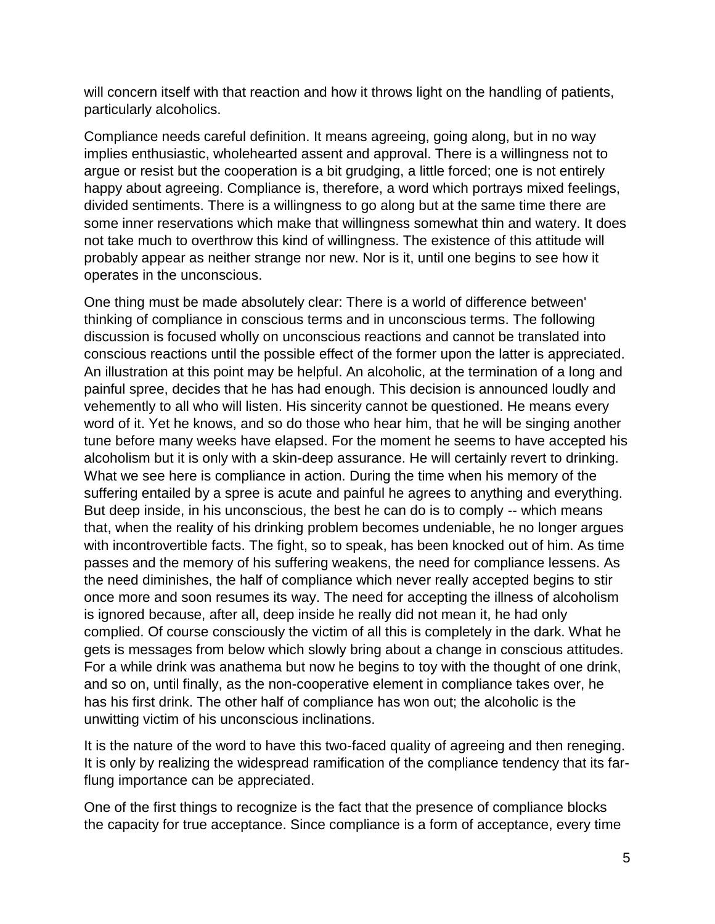will concern itself with that reaction and how it throws light on the handling of patients, particularly alcoholics.

Compliance needs careful definition. It means agreeing, going along, but in no way implies enthusiastic, wholehearted assent and approval. There is a willingness not to argue or resist but the cooperation is a bit grudging, a little forced; one is not entirely happy about agreeing. Compliance is, therefore, a word which portrays mixed feelings, divided sentiments. There is a willingness to go along but at the same time there are some inner reservations which make that willingness somewhat thin and watery. It does not take much to overthrow this kind of willingness. The existence of this attitude will probably appear as neither strange nor new. Nor is it, until one begins to see how it operates in the unconscious.

One thing must be made absolutely clear: There is a world of difference between' thinking of compliance in conscious terms and in unconscious terms. The following discussion is focused wholly on unconscious reactions and cannot be translated into conscious reactions until the possible effect of the former upon the latter is appreciated. An illustration at this point may be helpful. An alcoholic, at the termination of a long and painful spree, decides that he has had enough. This decision is announced loudly and vehemently to all who will listen. His sincerity cannot be questioned. He means every word of it. Yet he knows, and so do those who hear him, that he will be singing another tune before many weeks have elapsed. For the moment he seems to have accepted his alcoholism but it is only with a skin-deep assurance. He will certainly revert to drinking. What we see here is compliance in action. During the time when his memory of the suffering entailed by a spree is acute and painful he agrees to anything and everything. But deep inside, in his unconscious, the best he can do is to comply -- which means that, when the reality of his drinking problem becomes undeniable, he no longer argues with incontrovertible facts. The fight, so to speak, has been knocked out of him. As time passes and the memory of his suffering weakens, the need for compliance lessens. As the need diminishes, the half of compliance which never really accepted begins to stir once more and soon resumes its way. The need for accepting the illness of alcoholism is ignored because, after all, deep inside he really did not mean it, he had only complied. Of course consciously the victim of all this is completely in the dark. What he gets is messages from below which slowly bring about a change in conscious attitudes. For a while drink was anathema but now he begins to toy with the thought of one drink, and so on, until finally, as the non-cooperative element in compliance takes over, he has his first drink. The other half of compliance has won out; the alcoholic is the unwitting victim of his unconscious inclinations.

It is the nature of the word to have this two-faced quality of agreeing and then reneging. It is only by realizing the widespread ramification of the compliance tendency that its farflung importance can be appreciated.

One of the first things to recognize is the fact that the presence of compliance blocks the capacity for true acceptance. Since compliance is a form of acceptance, every time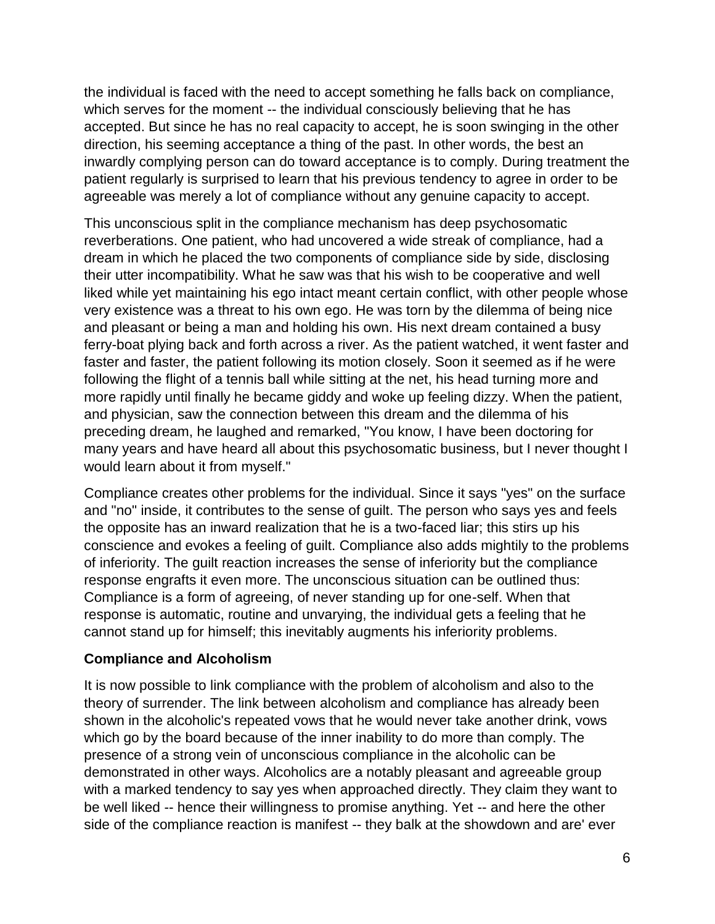the individual is faced with the need to accept something he falls back on compliance, which serves for the moment -- the individual consciously believing that he has accepted. But since he has no real capacity to accept, he is soon swinging in the other direction, his seeming acceptance a thing of the past. In other words, the best an inwardly complying person can do toward acceptance is to comply. During treatment the patient regularly is surprised to learn that his previous tendency to agree in order to be agreeable was merely a lot of compliance without any genuine capacity to accept.

This unconscious split in the compliance mechanism has deep psychosomatic reverberations. One patient, who had uncovered a wide streak of compliance, had a dream in which he placed the two components of compliance side by side, disclosing their utter incompatibility. What he saw was that his wish to be cooperative and well liked while yet maintaining his ego intact meant certain conflict, with other people whose very existence was a threat to his own ego. He was torn by the dilemma of being nice and pleasant or being a man and holding his own. His next dream contained a busy ferry-boat plying back and forth across a river. As the patient watched, it went faster and faster and faster, the patient following its motion closely. Soon it seemed as if he were following the flight of a tennis ball while sitting at the net, his head turning more and more rapidly until finally he became giddy and woke up feeling dizzy. When the patient, and physician, saw the connection between this dream and the dilemma of his preceding dream, he laughed and remarked, "You know, I have been doctoring for many years and have heard all about this psychosomatic business, but I never thought I would learn about it from myself."

Compliance creates other problems for the individual. Since it says "yes" on the surface and "no" inside, it contributes to the sense of guilt. The person who says yes and feels the opposite has an inward realization that he is a two-faced liar; this stirs up his conscience and evokes a feeling of guilt. Compliance also adds mightily to the problems of inferiority. The guilt reaction increases the sense of inferiority but the compliance response engrafts it even more. The unconscious situation can be outlined thus: Compliance is a form of agreeing, of never standing up for one-self. When that response is automatic, routine and unvarying, the individual gets a feeling that he cannot stand up for himself; this inevitably augments his inferiority problems.

#### **Compliance and Alcoholism**

It is now possible to link compliance with the problem of alcoholism and also to the theory of surrender. The link between alcoholism and compliance has already been shown in the alcoholic's repeated vows that he would never take another drink, vows which go by the board because of the inner inability to do more than comply. The presence of a strong vein of unconscious compliance in the alcoholic can be demonstrated in other ways. Alcoholics are a notably pleasant and agreeable group with a marked tendency to say yes when approached directly. They claim they want to be well liked -- hence their willingness to promise anything. Yet -- and here the other side of the compliance reaction is manifest -- they balk at the showdown and are' ever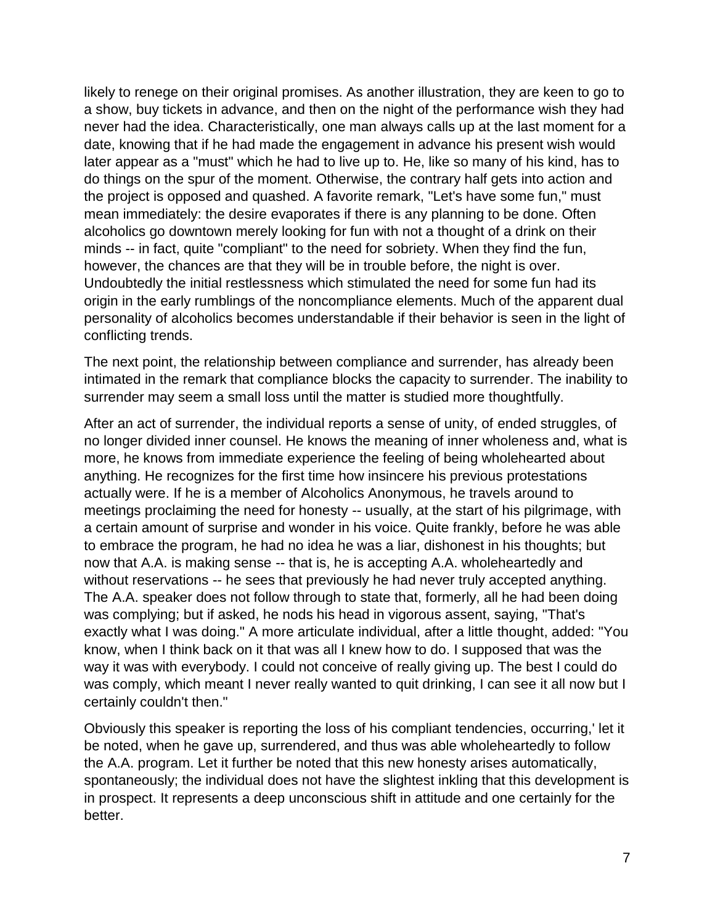likely to renege on their original promises. As another illustration, they are keen to go to a show, buy tickets in advance, and then on the night of the performance wish they had never had the idea. Characteristically, one man always calls up at the last moment for a date, knowing that if he had made the engagement in advance his present wish would later appear as a "must" which he had to live up to. He, like so many of his kind, has to do things on the spur of the moment. Otherwise, the contrary half gets into action and the project is opposed and quashed. A favorite remark, "Let's have some fun," must mean immediately: the desire evaporates if there is any planning to be done. Often alcoholics go downtown merely looking for fun with not a thought of a drink on their minds -- in fact, quite "compliant" to the need for sobriety. When they find the fun, however, the chances are that they will be in trouble before, the night is over. Undoubtedly the initial restlessness which stimulated the need for some fun had its origin in the early rumblings of the noncompliance elements. Much of the apparent dual personality of alcoholics becomes understandable if their behavior is seen in the light of conflicting trends.

The next point, the relationship between compliance and surrender, has already been intimated in the remark that compliance blocks the capacity to surrender. The inability to surrender may seem a small loss until the matter is studied more thoughtfully.

After an act of surrender, the individual reports a sense of unity, of ended struggles, of no longer divided inner counsel. He knows the meaning of inner wholeness and, what is more, he knows from immediate experience the feeling of being wholehearted about anything. He recognizes for the first time how insincere his previous protestations actually were. If he is a member of Alcoholics Anonymous, he travels around to meetings proclaiming the need for honesty -- usually, at the start of his pilgrimage, with a certain amount of surprise and wonder in his voice. Quite frankly, before he was able to embrace the program, he had no idea he was a liar, dishonest in his thoughts; but now that A.A. is making sense -- that is, he is accepting A.A. wholeheartedly and without reservations -- he sees that previously he had never truly accepted anything. The A.A. speaker does not follow through to state that, formerly, all he had been doing was complying; but if asked, he nods his head in vigorous assent, saying, "That's exactly what I was doing." A more articulate individual, after a little thought, added: "You know, when I think back on it that was all I knew how to do. I supposed that was the way it was with everybody. I could not conceive of really giving up. The best I could do was comply, which meant I never really wanted to quit drinking, I can see it all now but I certainly couldn't then."

Obviously this speaker is reporting the loss of his compliant tendencies, occurring,' let it be noted, when he gave up, surrendered, and thus was able wholeheartedly to follow the A.A. program. Let it further be noted that this new honesty arises automatically, spontaneously; the individual does not have the slightest inkling that this development is in prospect. It represents a deep unconscious shift in attitude and one certainly for the better.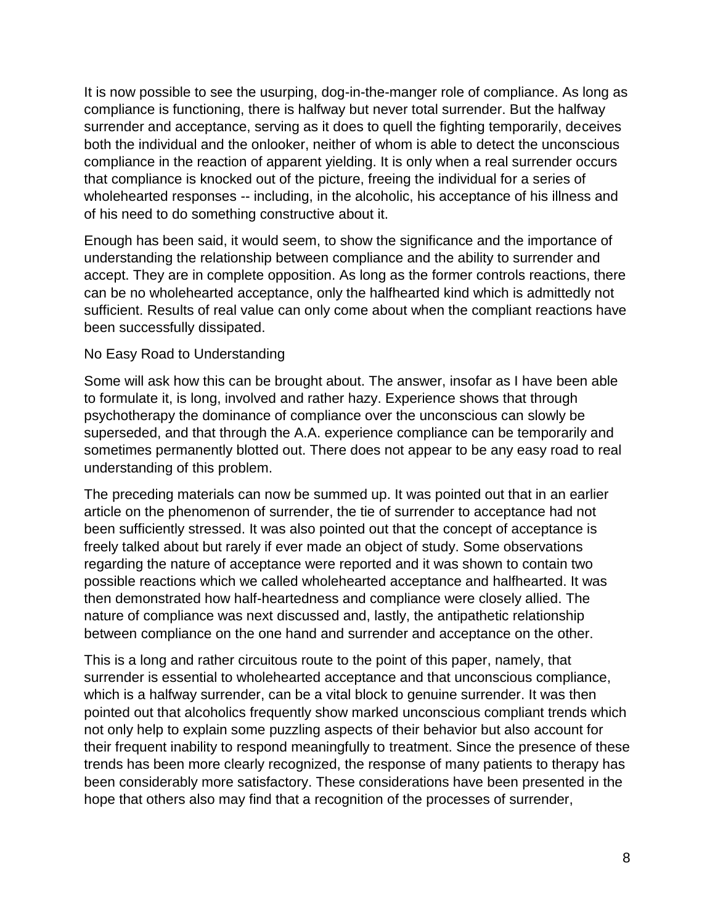It is now possible to see the usurping, dog-in-the-manger role of compliance. As long as compliance is functioning, there is halfway but never total surrender. But the halfway surrender and acceptance, serving as it does to quell the fighting temporarily, deceives both the individual and the onlooker, neither of whom is able to detect the unconscious compliance in the reaction of apparent yielding. It is only when a real surrender occurs that compliance is knocked out of the picture, freeing the individual for a series of wholehearted responses -- including, in the alcoholic, his acceptance of his illness and of his need to do something constructive about it.

Enough has been said, it would seem, to show the significance and the importance of understanding the relationship between compliance and the ability to surrender and accept. They are in complete opposition. As long as the former controls reactions, there can be no wholehearted acceptance, only the halfhearted kind which is admittedly not sufficient. Results of real value can only come about when the compliant reactions have been successfully dissipated.

#### No Easy Road to Understanding

Some will ask how this can be brought about. The answer, insofar as I have been able to formulate it, is long, involved and rather hazy. Experience shows that through psychotherapy the dominance of compliance over the unconscious can slowly be superseded, and that through the A.A. experience compliance can be temporarily and sometimes permanently blotted out. There does not appear to be any easy road to real understanding of this problem.

The preceding materials can now be summed up. It was pointed out that in an earlier article on the phenomenon of surrender, the tie of surrender to acceptance had not been sufficiently stressed. It was also pointed out that the concept of acceptance is freely talked about but rarely if ever made an object of study. Some observations regarding the nature of acceptance were reported and it was shown to contain two possible reactions which we called wholehearted acceptance and halfhearted. It was then demonstrated how half-heartedness and compliance were closely allied. The nature of compliance was next discussed and, lastly, the antipathetic relationship between compliance on the one hand and surrender and acceptance on the other.

This is a long and rather circuitous route to the point of this paper, namely, that surrender is essential to wholehearted acceptance and that unconscious compliance, which is a halfway surrender, can be a vital block to genuine surrender. It was then pointed out that alcoholics frequently show marked unconscious compliant trends which not only help to explain some puzzling aspects of their behavior but also account for their frequent inability to respond meaningfully to treatment. Since the presence of these trends has been more clearly recognized, the response of many patients to therapy has been considerably more satisfactory. These considerations have been presented in the hope that others also may find that a recognition of the processes of surrender,